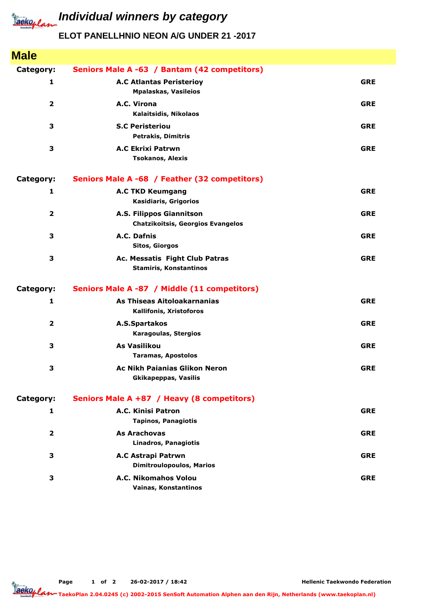

## *Iaeko<sub>plan</sub>* Individual winners by category

## **ELOT PANELLHNIO NEON A/G UNDER 21 -2017**

| <b>Male</b>             |                                                                      |            |
|-------------------------|----------------------------------------------------------------------|------------|
| Category:               | Seniors Male A -63 / Bantam (42 competitors)                         |            |
| 1                       | <b>A.C Atlantas Peristerioy</b><br><b>Mpalaskas, Vasileios</b>       | <b>GRE</b> |
| $\overline{2}$          | A.C. Virona<br>Kalaitsidis, Nikolaos                                 | <b>GRE</b> |
| 3                       | <b>S.C Peristeriou</b><br><b>Petrakis, Dimitris</b>                  | <b>GRE</b> |
| 3                       | <b>A.C Ekrixi Patrwn</b><br><b>Tsokanos, Alexis</b>                  | <b>GRE</b> |
| Category:               | Seniors Male A -68 / Feather (32 competitors)                        |            |
| 1                       | <b>A.C TKD Keumgang</b><br>Kasidiaris, Grigorios                     | <b>GRE</b> |
| $\overline{2}$          | A.S. Filippos Giannitson<br><b>Chatzikoitsis, Georgios Evangelos</b> | <b>GRE</b> |
| 3                       | A.C. Dafnis<br><b>Sitos, Giorgos</b>                                 | <b>GRE</b> |
| 3                       | Ac. Messatis Fight Club Patras<br><b>Stamiris, Konstantinos</b>      | <b>GRE</b> |
| Category:               | Seniors Male A -87 / Middle (11 competitors)                         |            |
| 1                       | As Thiseas Aitoloakarnanias<br>Kallifonis, Xristoforos               | <b>GRE</b> |
| $\overline{\mathbf{2}}$ | A.S.Spartakos<br>Karagoulas, Stergios                                | <b>GRE</b> |
| 3                       | As Vasilikou<br><b>Taramas, Apostolos</b>                            | <b>GRE</b> |
| 3                       | <b>Ac Nikh Paianias Glikon Neron</b><br><b>Gkikapeppas, Vasilis</b>  | <b>GRE</b> |
| Category:               | Seniors Male A +87 / Heavy (8 competitors)                           |            |
| 1                       | A.C. Kinisi Patron<br><b>Tapinos, Panagiotis</b>                     | <b>GRE</b> |
| $\mathbf{2}$            | <b>As Arachovas</b><br><b>Linadros, Panagiotis</b>                   | <b>GRE</b> |
| 3                       | A.C Astrapi Patrwn<br><b>Dimitroulopoulos, Marios</b>                | <b>GRE</b> |
| 3                       | A.C. Nikomahos Volou<br>Vainas, Konstantinos                         | <b>GRE</b> |